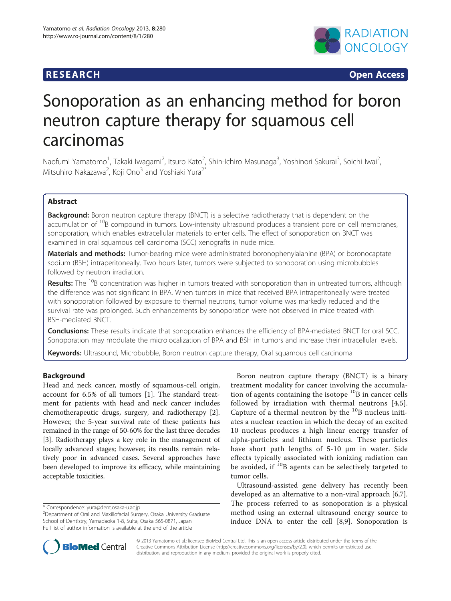# **RESEARCH CHINESE ARCH CHINESE ARCH CHINESE ARCH**



# Sonoporation as an enhancing method for boron neutron capture therapy for squamous cell carcinomas

Naofumi Yamatomo<sup>1</sup>, Takaki Iwagami<sup>2</sup>, Itsuro Kato<sup>2</sup>, Shin-Ichiro Masunaga<sup>3</sup>, Yoshinori Sakurai<sup>3</sup>, Soichi Iwai<sup>2</sup> , Mitsuhiro Nakazawa<sup>2</sup>, Koji Ono<sup>3</sup> and Yoshiaki Yura<sup>2\*</sup>

# Abstract

**Background:** Boron neutron capture therapy (BNCT) is a selective radiotherapy that is dependent on the accumulation of <sup>10</sup>B compound in tumors. Low-intensity ultrasound produces a transient pore on cell membranes, sonoporation, which enables extracellular materials to enter cells. The effect of sonoporation on BNCT was examined in oral squamous cell carcinoma (SCC) xenografts in nude mice.

Materials and methods: Tumor-bearing mice were administrated boronophenylalanine (BPA) or boronocaptate sodium (BSH) intraperitoneally. Two hours later, tumors were subjected to sonoporation using microbubbles followed by neutron irradiation.

Results: The <sup>10</sup>B concentration was higher in tumors treated with sonoporation than in untreated tumors, although the difference was not significant in BPA. When tumors in mice that received BPA intraperitoneally were treated with sonoporation followed by exposure to thermal neutrons, tumor volume was markedly reduced and the survival rate was prolonged. Such enhancements by sonoporation were not observed in mice treated with BSH-mediated BNCT.

**Conclusions:** These results indicate that sonoporation enhances the efficiency of BPA-mediated BNCT for oral SCC. Sonoporation may modulate the microlocalization of BPA and BSH in tumors and increase their intracellular levels.

Keywords: Ultrasound, Microbubble, Boron neutron capture therapy, Oral squamous cell carcinoma

# Background

Head and neck cancer, mostly of squamous-cell origin, account for 6.5% of all tumors [\[1](#page-6-0)]. The standard treatment for patients with head and neck cancer includes chemotherapeutic drugs, surgery, and radiotherapy [\[2](#page-6-0)]. However, the 5-year survival rate of these patients has remained in the range of 50-60% for the last three decades [[3\]](#page-6-0). Radiotherapy plays a key role in the management of locally advanced stages; however, its results remain relatively poor in advanced cases. Several approaches have been developed to improve its efficacy, while maintaining acceptable toxicities.

Boron neutron capture therapy (BNCT) is a binary treatment modality for cancer involving the accumulation of agents containing the isotope  ${}^{10}B$  in cancer cells followed by irradiation with thermal neutrons [[4,5](#page-6-0)]. Capture of a thermal neutron by the  $^{10}$ B nucleus initiates a nuclear reaction in which the decay of an excited 10 nucleus produces a high linear energy transfer of alpha-particles and lithium nucleus. These particles have short path lengths of 5-10 μm in water. Side effects typically associated with ionizing radiation can be avoided, if  $^{10}$ B agents can be selectively targeted to tumor cells.

Ultrasound-assisted gene delivery has recently been developed as an alternative to a non-viral approach [\[6,7](#page-6-0)]. The process referred to as sonoporation is a physical method using an external ultrasound energy source to induce DNA to enter the cell [[8,9\]](#page-6-0). Sonoporation is



© 2013 Yamatomo et al.; licensee BioMed Central Ltd. This is an open access article distributed under the terms of the Creative Commons Attribution License (<http://creativecommons.org/licenses/by/2.0>), which permits unrestricted use, distribution, and reproduction in any medium, provided the original work is properly cited.

<sup>\*</sup> Correspondence: [yura@dent.osaka-u.ac.jp](mailto:yura@dent.osaka-u.ac.jp) <sup>2</sup>

<sup>&</sup>lt;sup>2</sup>Department of Oral and Maxillofacial Surgery, Osaka University Graduate School of Dentistry, Yamadaoka 1-8, Suita, Osaka 565-0871, Japan Full list of author information is available at the end of the article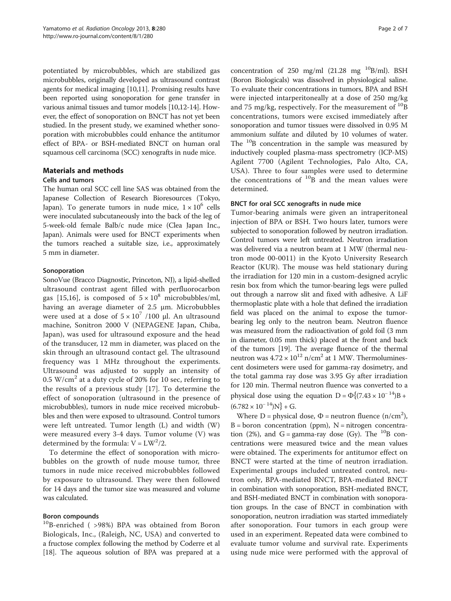potentiated by microbubbles, which are stabilized gas microbubbles, originally developed as ultrasound contrast agents for medical imaging [[10,11](#page-6-0)]. Promising results have been reported using sonoporation for gene transfer in various animal tissues and tumor models [[10,12-14\]](#page-6-0). However, the effect of sonoporation on BNCT has not yet been studied. In the present study, we examined whether sonoporation with microbubbles could enhance the antitumor effect of BPA- or BSH-mediated BNCT on human oral squamous cell carcinoma (SCC) xenografts in nude mice.

# Materials and methods

### Cells and tumors

The human oral SCC cell line SAS was obtained from the Japanese Collection of Research Bioresources (Tokyo, Japan). To generate tumors in nude mice,  $1 \times 10^6$  cells were inoculated subcutaneously into the back of the leg of 5-week-old female Balb/c nude mice (Clea Japan Inc., Japan). Animals were used for BNCT experiments when the tumors reached a suitable size, i.e., approximately 5 mm in diameter.

# Sonoporation

SonoVue (Bracco Diagnostic, Princeton, NJ), a lipid-shelled ultrasound contrast agent filled with perfluorocarbon gas [\[15](#page-6-0),[16\]](#page-6-0), is composed of  $5 \times 10^8$  microbubbles/ml, having an average diameter of 2.5 μm. Microbubbles were used at a dose of  $5 \times 10^7$  /100 μl. An ultrasound machine, Sonitron 2000 V (NEPAGENE Japan, Chiba, Japan), was used for ultrasound exposure and the head of the transducer, 12 mm in diameter, was placed on the skin through an ultrasound contact gel. The ultrasound frequency was 1 MHz throughout the experiments. Ultrasound was adjusted to supply an intensity of  $0.5 \text{ W/cm}^2$  at a duty cycle of 20% for 10 sec, referring to the results of a previous study [[17\]](#page-6-0). To determine the effect of sonoporation (ultrasound in the presence of microbubbles), tumors in nude mice received microbubbles and then were exposed to ultrasound. Control tumors were left untreated. Tumor length (L) and width (W) were measured every 3-4 days. Tumor volume (V) was determined by the formula:  $V = LW^2/2$ .

To determine the effect of sonoporation with microbubbles on the growth of nude mouse tumor, three tumors in nude mice received microbubbles followed by exposure to ultrasound. They were then followed for 14 days and the tumor size was measured and volume was calculated.

#### Boron compounds

10B-enriched ( >98%) BPA was obtained from Boron Biologicals, Inc., (Raleigh, NC, USA) and converted to a fructose complex following the method by Coderre et al [[18](#page-6-0)]. The aqueous solution of BPA was prepared at a

concentration of 250 mg/ml  $(21.28 \text{ mg}^{-10}B/\text{ml})$ . BSH (Boron Biologicals) was dissolved in physiological saline. To evaluate their concentrations in tumors, BPA and BSH were injected intarperitoneally at a dose of 250 mg/kg and 75 mg/kg, respectively. For the measurement of  $^{10}$ B concentrations, tumors were excised immediately after sonoporation and tumor tissues were dissolved in 0.95 M ammonium sulfate and diluted by 10 volumes of water. The  $10B$  concentration in the sample was measured by inductively coupled plasma-mass spectrometry (ICP-MS) Agilent 7700 (Agilent Technologies, Palo Alto, CA, USA). Three to four samples were used to determine the concentrations of  $^{10}$ B and the mean values were determined.

### BNCT for oral SCC xenografts in nude mice

Tumor-bearing animals were given an intraperitoneal injection of BPA or BSH. Two hours later, tumors were subjected to sonoporation followed by neutron irradiation. Control tumors were left untreated. Neutron irradiation was delivered via a neutron beam at 1 MW (thermal neutron mode 00-0011) in the Kyoto University Research Reactor (KUR). The mouse was held stationary during the irradiation for 120 min in a custom-designed acrylic resin box from which the tumor-bearing legs were pulled out through a narrow slit and fixed with adhesive. A LiF thermoplastic plate with a hole that defined the irradiation field was placed on the animal to expose the tumorbearing leg only to the neutron beam. Neutron fluence was measured from the radioactivation of gold foil (3 mm in diameter, 0.05 mm thick) placed at the front and back of the tumors [[19](#page-6-0)]. The average fluence of the thermal neutron was  $4.72 \times 10^{12}$  n/cm<sup>2</sup> at 1 MW. Thermoluminescent dosimeters were used for gamma-ray dosimetry, and the total gamma ray dose was 3.95 Gy after irradiation for 120 min. Thermal neutron fluence was converted to a physical dose using the equation D =  $\Phi$ {(7.43 × 10<sup>-14</sup>)B +  $(6.782 \times 10^{-14})$ N} + G.

Where  $D =$  physical dose,  $\Phi =$  neutron fluence (n/cm<sup>2</sup>),  $B = boron concentration (ppm)$ ,  $N = nitrogen concentration$ tion (2%), and  $G =$  gamma-ray dose (Gy). The  $^{10}B$  concentrations were measured twice and the mean values were obtained. The experiments for antitumor effect on BNCT were started at the time of neutron irradiation. Experimental groups included untreated control, neutron only, BPA-mediated BNCT, BPA-mediated BNCT in combination with sonoporation, BSH-mediated BNCT, and BSH-mediated BNCT in combination with sonoporation groups. In the case of BNCT in combination with sonoporation, neutron irradiation was started immediately after sonoporation. Four tumors in each group were used in an experiment. Repeated data were combined to evaluate tumor volume and survival rate. Experiments using nude mice were performed with the approval of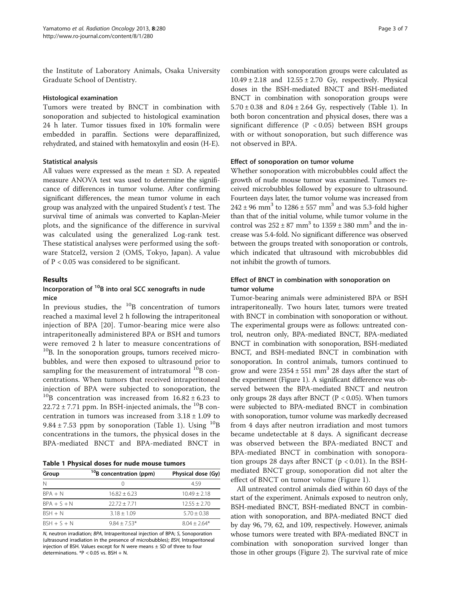the Institute of Laboratory Animals, Osaka University Graduate School of Dentistry.

#### Histological examination

Tumors were treated by BNCT in combination with sonoporation and subjected to histological examination 24 h later. Tumor tissues fixed in 10% formalin were embedded in paraffin. Sections were deparaffinized, rehydrated, and stained with hematoxylin and eosin (H-E).

#### Statistical analysis

All values were expressed as the mean  $\pm$  SD. A repeated measure ANOVA test was used to determine the significance of differences in tumor volume. After confirming significant differences, the mean tumor volume in each group was analyzed with the unpaired Student's  $t$  test. The survival time of animals was converted to Kaplan-Meier plots, and the significance of the difference in survival was calculated using the generalized Log-rank test. These statistical analyses were performed using the software Statcel2, version 2 (OMS, Tokyo, Japan). A value of P < 0.05 was considered to be significant.

#### Results

### Incorporation of  $10B$  into oral SCC xenografts in nude mice

In previous studies, the  $^{10}B$  concentration of tumors reached a maximal level 2 h following the intraperitoneal injection of BPA [\[20\]](#page-6-0). Tumor-bearing mice were also intraperitoneally administered BPA or BSH and tumors were removed 2 h later to measure concentrations of  $10B$ . In the sonoporation groups, tumors received microbubbles, and were then exposed to ultrasound prior to sampling for the measurement of intratumoral  $^{10}$ B concentrations. When tumors that received intraperitoneal injection of BPA were subjected to sonoporation, the  $^{10}$ B concentration was increased from  $16.82 \pm 6.23$  to  $22.72 \pm 7.71$  ppm. In BSH-injected animals, the <sup>10</sup>B concentration in tumors was increased from  $3.18 \pm 1.09$  to 9.84  $\pm$  7.53 ppm by sonoporation (Table 1). Using  $^{10}B$ concentrations in the tumors, the physical doses in the BPA-mediated BNCT and BPA-mediated BNCT in

Table 1 Physical doses for nude mouse tumors

| Group         | <sup>10</sup> B concentration (ppm) | Physical dose (Gy) |
|---------------|-------------------------------------|--------------------|
| N             |                                     | 459                |
| $RPA + N$     | $16.82 + 6.23$                      | $10.49 + 2.18$     |
| $RPA + S + N$ | $22.72 + 7.71$                      | $12.55 + 2.70$     |
| $BSH + N$     | $3.18 + 1.09$                       | $5.70 + 0.38$      |
| $BSH + S + N$ | $9.84 + 7.53*$                      | $804 + 264*$       |

N, neutron irradiation; BPA, Intraperitoneal injection of BPA; S, Sonoporation (ultrasound irradiation in the presence of microbubbles); BSH, Intraperitoneal injection of BSH. Values except for N were means  $\pm$  SD of three to four determinations. \*P < 0.05 vs. BSH + N.

combination with sonoporation groups were calculated as  $10.49 \pm 2.18$  and  $12.55 \pm 2.70$  Gy, respectively. Physical doses in the BSH-mediated BNCT and BSH-mediated BNCT in combination with sonoporation groups were  $5.70 \pm 0.38$  and  $8.04 \pm 2.64$  Gy, respectively (Table 1). In both boron concentration and physical doses, there was a significant difference  $(P < 0.05)$  between BSH groups with or without sonoporation, but such difference was not observed in BPA.

#### Effect of sonoporation on tumor volume

Whether sonoporation with microbubbles could affect the growth of nude mouse tumor was examined. Tumors received microbubbles followed by exposure to ultrasound. Fourteen days later, the tumor volume was increased from  $242 \pm 96$  mm<sup>3</sup> to  $1286 \pm 557$  mm<sup>3</sup> and was 5.3-fold higher than that of the initial volume, while tumor volume in the control was  $252 \pm 87$  mm<sup>3</sup> to  $1359 \pm 380$  mm<sup>3</sup> and the increase was 5.4-fold. No significant difference was observed between the groups treated with sonoporation or controls, which indicated that ultrasound with microbubbles did not inhibit the growth of tumors.

# Effect of BNCT in combination with sonoporation on tumor volume

Tumor-bearing animals were administered BPA or BSH intraperitoneally. Two hours later, tumors were treated with BNCT in combination with sonoporation or without. The experimental groups were as follows: untreated control, neutron only, BPA-mediated BNCT, BPA-mediated BNCT in combination with sonoporation, BSH-mediated BNCT, and BSH-mediated BNCT in combination with sonoporation. In control animals, tumors continued to grow and were  $2354 \pm 551$  mm<sup>3</sup> 28 days after the start of the experiment (Figure [1](#page-3-0)). A significant difference was observed between the BPA-mediated BNCT and neutron only groups 28 days after BNCT ( $P < 0.05$ ). When tumors were subjected to BPA-mediated BNCT in combination with sonoporation, tumor volume was markedly decreased from 4 days after neutron irradiation and most tumors became undetectable at 8 days. A significant decrease was observed between the BPA-mediated BNCT and BPA-mediated BNCT in combination with sonoporation groups 28 days after BNCT ( $p < 0.01$ ). In the BSHmediated BNCT group, sonoporation did not alter the effect of BNCT on tumor volume (Figure [1\)](#page-3-0).

All untreated control animals died within 60 days of the start of the experiment. Animals exposed to neutron only, BSH-mediated BNCT, BSH-mediated BNCT in combination with sonoporation, and BPA-mediated BNCT died by day 96, 79, 62, and 109, respectively. However, animals whose tumors were treated with BPA-mediated BNCT in combination with sonoporation survived longer than those in other groups (Figure [2\)](#page-3-0). The survival rate of mice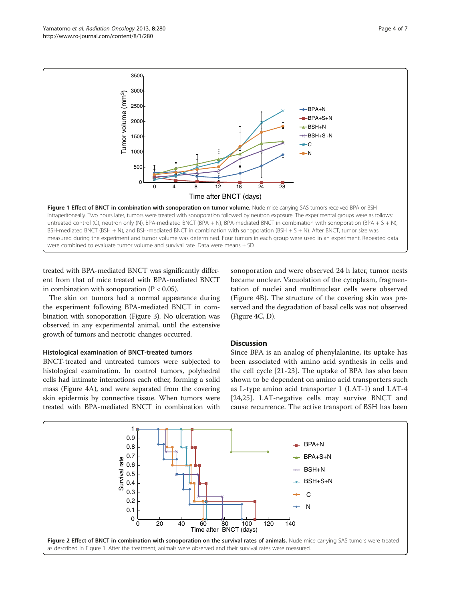<span id="page-3-0"></span>

treated with BPA-mediated BNCT was significantly different from that of mice treated with BPA-mediated BNCT in combination with sonoporation  $(P < 0.05)$ .

The skin on tumors had a normal appearance during the experiment following BPA-mediated BNCT in combination with sonoporation (Figure [3](#page-4-0)). No ulceration was observed in any experimental animal, until the extensive growth of tumors and necrotic changes occurred.

#### Histological examination of BNCT-treated tumors

BNCT-treated and untreated tumors were subjected to histological examination. In control tumors, polyhedral cells had intimate interactions each other, forming a solid mass (Figure [4](#page-5-0)A), and were separated from the covering skin epidermis by connective tissue. When tumors were treated with BPA-mediated BNCT in combination with sonoporation and were observed 24 h later, tumor nests became unclear. Vacuolation of the cytoplasm, fragmentation of nuclei and multinuclear cells were observed (Figure [4](#page-5-0)B). The structure of the covering skin was preserved and the degradation of basal cells was not observed (Figure [4](#page-5-0)C, D).

# Discussion

Since BPA is an analog of phenylalanine, its uptake has been associated with amino acid synthesis in cells and the cell cycle [[21](#page-6-0)-[23\]](#page-6-0). The uptake of BPA has also been shown to be dependent on amino acid transporters such as L-type amino acid transporter 1 (LAT-1) and LAT-4 [[24,25](#page-6-0)]. LAT-negative cells may survive BNCT and cause recurrence. The active transport of BSH has been

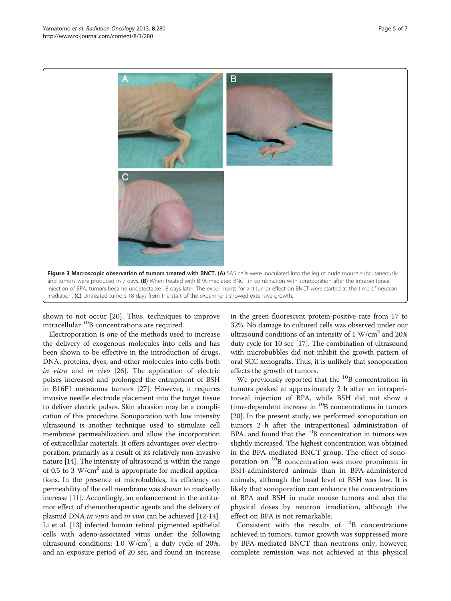<span id="page-4-0"></span>

shown to not occur [\[20](#page-6-0)]. Thus, techniques to improve intracellular <sup>10</sup>B concentrations are required.

Electroporation is one of the methods used to increase the delivery of exogenous molecules into cells and has been shown to be effective in the introduction of drugs, DNA, proteins, dyes, and other molecules into cells both in vitro and in vivo [\[26\]](#page-6-0). The application of electric pulses increased and prolonged the entrapment of BSH in B16F1 melanoma tumors [\[27](#page-6-0)]. However, it requires invasive needle electrode placement into the target tissue to deliver electric pulses. Skin abrasion may be a complication of this procedure. Sonoporation with low intensity ultrasound is another technique used to stimulate cell membrane permeabilization and allow the incorporation of extracellular materials. It offers advantages over electroporation, primarily as a result of its relatively non-invasive nature [\[14\]](#page-6-0). The intensity of ultrasound is within the range of 0.5 to 3  $W/cm<sup>2</sup>$  and is appropriate for medical applications. In the presence of microbubbles, its efficiency on permeability of the cell membrane was shown to markedly increase [\[11](#page-6-0)]. Accordingly, an enhancement in the antitumor effect of chemotherapeutic agents and the delivery of plasmid DNA in vitro and in vivo can be achieved [[12](#page-6-0)-[14](#page-6-0)]. Li et al. [\[13\]](#page-6-0) infected human retinal pigmented epithelial cells with adeno-associated virus under the following ultrasound conditions:  $1.0 \text{ W/cm}^2$ , a duty cycle of 20%, and an exposure period of 20 sec, and found an increase

in the green fluorescent protein-positive rate from 17 to 32%. No damage to cultured cells was observed under our ultrasound conditions of an intensity of  $1 W/cm<sup>2</sup>$  and  $20\%$ duty cycle for 10 sec [\[17\]](#page-6-0). The combination of ultrasound with microbubbles did not inhibit the growth pattern of oral SCC xenografts. Thus, it is unlikely that sonoporation affects the growth of tumors.

We previously reported that the  $^{10}$ B concentration in tumors peaked at approximately 2 h after an intraperitoneal injection of BPA, while BSH did not show a time-dependent increase in  $^{10}$ B concentrations in tumors [[20](#page-6-0)]. In the present study, we performed sonoporation on tumors 2 h after the intraperitoneal administration of BPA, and found that the  $^{10}$ B concentration in tumors was slightly increased. The highest concentration was obtained in the BPA-mediated BNCT group. The effect of sonoporation on  $^{10}$ B concentration was more prominent in BSH-administered animals than in BPA-administered animals, although the basal level of BSH was low. It is likely that sonoporation can enhance the concentrations of BPA and BSH in nude mouse tumors and also the physical doses by neutron irradiation, although the effect on BPA is not remarkable.

Consistent with the results of  $^{10}B$  concentrations achieved in tumors, tumor growth was suppressed more by BPA-mediated BNCT than neutrons only, however, complete remission was not achieved at this physical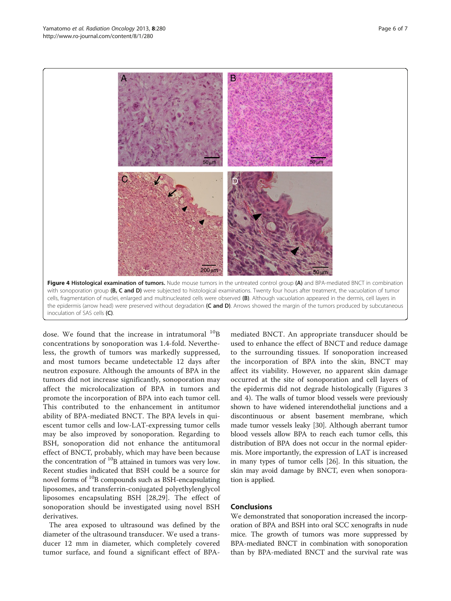<span id="page-5-0"></span>

dose. We found that the increase in intratumoral  $^{10}B$ concentrations by sonoporation was 1.4-fold. Nevertheless, the growth of tumors was markedly suppressed, and most tumors became undetectable 12 days after neutron exposure. Although the amounts of BPA in the tumors did not increase significantly, sonoporation may affect the microlocalization of BPA in tumors and promote the incorporation of BPA into each tumor cell. This contributed to the enhancement in antitumor ability of BPA-mediated BNCT. The BPA levels in quiescent tumor cells and low-LAT-expressing tumor cells may be also improved by sonoporation. Regarding to BSH, sonoporation did not enhance the antitumoral effect of BNCT, probably, which may have been because the concentration of <sup>10</sup>B attained in tumors was very low. Recent studies indicated that BSH could be a source for novel forms of  $^{10}$ B compounds such as BSH-encapsulating liposomes, and transferrin-conjugated polyethylenglycol liposomes encapsulating BSH [\[28](#page-6-0),[29\]](#page-6-0). The effect of sonoporation should be investigated using novel BSH derivatives.

The area exposed to ultrasound was defined by the diameter of the ultrasound transducer. We used a transducer 12 mm in diameter, which completely covered tumor surface, and found a significant effect of BPA-

mediated BNCT. An appropriate transducer should be used to enhance the effect of BNCT and reduce damage to the surrounding tissues. If sonoporation increased the incorporation of BPA into the skin, BNCT may affect its viability. However, no apparent skin damage occurred at the site of sonoporation and cell layers of the epidermis did not degrade histologically (Figures [3](#page-4-0) and 4). The walls of tumor blood vessels were previously shown to have widened interendothelial junctions and a discontinuous or absent basement membrane, which made tumor vessels leaky [\[30](#page-6-0)]. Although aberrant tumor blood vessels allow BPA to reach each tumor cells, this distribution of BPA does not occur in the normal epidermis. More importantly, the expression of LAT is increased in many types of tumor cells [\[26\]](#page-6-0). In this situation, the skin may avoid damage by BNCT, even when sonoporation is applied.

# Conclusions

We demonstrated that sonoporation increased the incorporation of BPA and BSH into oral SCC xenografts in nude mice. The growth of tumors was more suppressed by BPA-mediated BNCT in combination with sonoporation than by BPA-mediated BNCT and the survival rate was